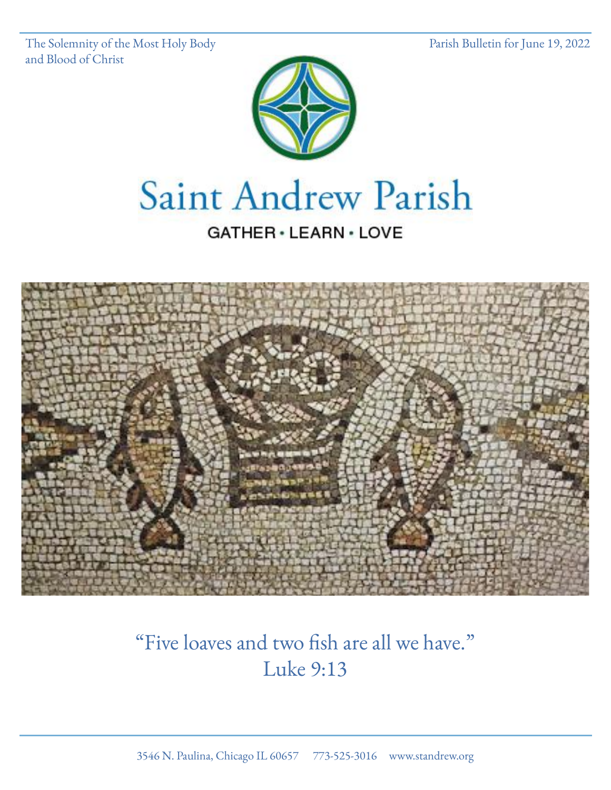The Solemnity of the Most Holy Body Parish Bulletin for June 19, 2022 and Blood of Christ



# Saint Andrew Parish

#### GATHER · LEARN · LOVE



# "Five loaves and two fish are all we have." Luke 9:13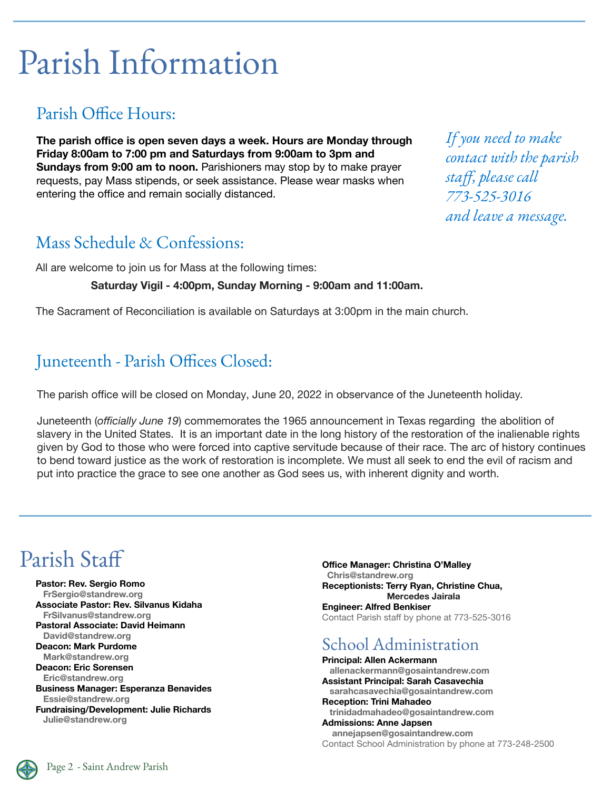# Parish Information

#### Parish Office Hours:

**The parish office is open seven days a week. Hours are Monday through Friday 8:00am to 7:00 pm and Saturdays from 9:00am to 3pm and Sundays from 9:00 am to noon.** Parishioners may stop by to make prayer requests, pay Mass stipends, or seek assistance. Please wear masks when entering the office and remain socially distanced.

*If you need to make contact with the parish staff, please call 773-525-3016 and leave a message.* 

#### Mass Schedule & Confessions:

All are welcome to join us for Mass at the following times:

**Saturday Vigil - 4:00pm, Sunday Morning - 9:00am and 11:00am.**

The Sacrament of Reconciliation is available on Saturdays at 3:00pm in the main church.

#### Juneteenth - Parish Offices Closed:

The parish office will be closed on Monday, June 20, 2022 in observance of the Juneteenth holiday.

Juneteenth (*officially June 19*) commemorates the 1965 announcement in Texas regarding the abolition of slavery in the United States. It is an important date in the long history of the restoration of the inalienable rights given by God to those who were forced into captive servitude because of their race. The arc of history continues to bend toward justice as the work of restoration is incomplete. We must all seek to end the evil of racism and put into practice the grace to see one another as God sees us, with inherent dignity and worth.

### Parish Staff

**Pastor: Rev. Sergio Romo FrSergio@standrew.org Associate Pastor: Rev. Silvanus Kidaha FrSilvanus@standrew.org Pastoral Associate: David Heimann David@standrew.org Deacon: Mark Purdome Mark@standrew.org Deacon: Eric Sorensen Eric@standrew.org Business Manager: Esperanza Benavides Essie@standrew.org Fundraising/Development: Julie Richards Julie@standrew.org**

**Office Manager: Christina O'Malley Chris@standrew.org Receptionists: Terry Ryan, Christine Chua, Mercedes Jairala Engineer: Alfred Benkiser** Contact Parish staff by phone at 773-525-3016

#### School Administration

**Principal: Allen Ackermann allenackermann@gosaintandrew.com Assistant Principal: Sarah Casavechia sarahcasavechia@gosaintandrew.com Reception: Trini Mahadeo trinidadmahadeo@gosaintandrew.com Admissions: Anne Japsen annejapsen@gosaintandrew.com** Contact School Administration by phone at 773-248-2500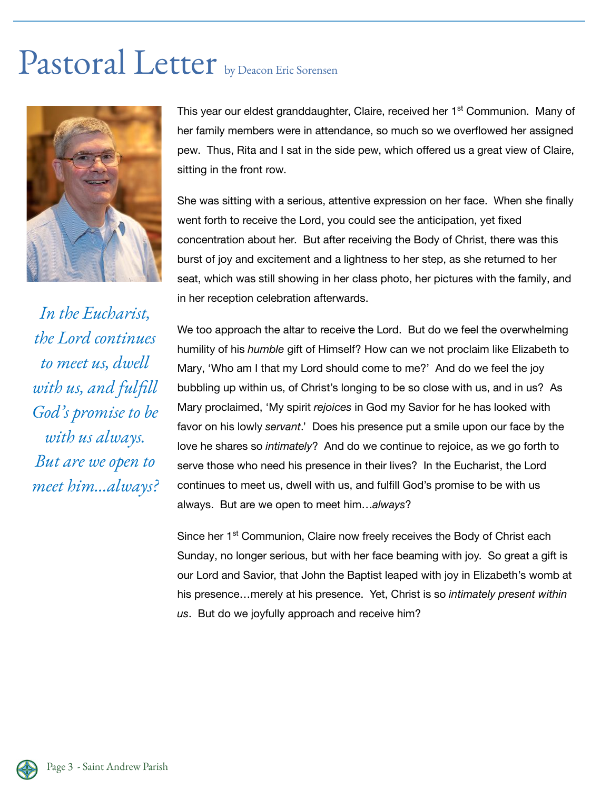# Pastoral Letter by Deacon Eric Sorensen



*In the Eucharist, the Lord continues to meet us, dwell with us, and fulfill God's promise to be with us always. But are we open to meet him…always?* This year our eldest granddaughter, Claire, received her 1<sup>st</sup> Communion. Many of her family members were in attendance, so much so we overflowed her assigned pew. Thus, Rita and I sat in the side pew, which offered us a great view of Claire, sitting in the front row.

She was sitting with a serious, attentive expression on her face. When she finally went forth to receive the Lord, you could see the anticipation, yet fixed concentration about her. But after receiving the Body of Christ, there was this burst of joy and excitement and a lightness to her step, as she returned to her seat, which was still showing in her class photo, her pictures with the family, and in her reception celebration afterwards.

We too approach the altar to receive the Lord. But do we feel the overwhelming humility of his *humble* gift of Himself? How can we not proclaim like Elizabeth to Mary, 'Who am I that my Lord should come to me?' And do we feel the joy bubbling up within us, of Christ's longing to be so close with us, and in us? As Mary proclaimed, 'My spirit *rejoices* in God my Savior for he has looked with favor on his lowly *servant*.' Does his presence put a smile upon our face by the love he shares so *intimately*? And do we continue to rejoice, as we go forth to serve those who need his presence in their lives? In the Eucharist, the Lord continues to meet us, dwell with us, and fulfill God's promise to be with us always. But are we open to meet him…*always*?

Since her 1<sup>st</sup> Communion, Claire now freely receives the Body of Christ each Sunday, no longer serious, but with her face beaming with joy. So great a gift is our Lord and Savior, that John the Baptist leaped with joy in Elizabeth's womb at his presence…merely at his presence. Yet, Christ is so *intimately present within us*. But do we joyfully approach and receive him?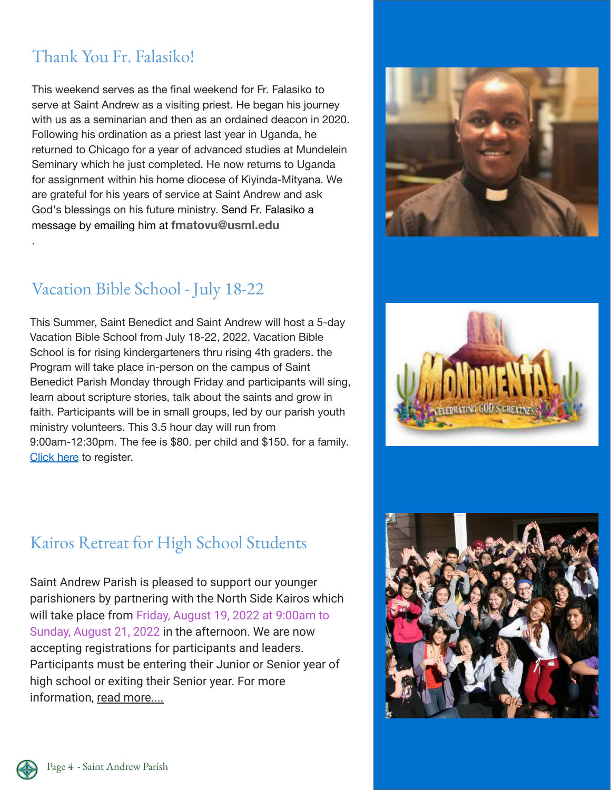#### Thank You Fr. Falasiko!

.

This weekend serves as the final weekend for Fr. Falasiko to serve at Saint Andrew as a visiting priest. He began his journey with us as a seminarian and then as an ordained deacon in 2020. Following his ordination as a priest last year in Uganda, he returned to Chicago for a year of advanced studies at Mundelein Seminary which he just completed. He now returns to Uganda for assignment within his home diocese of Kiyinda-Mityana. We are grateful for his years of service at Saint Andrew and ask God's blessings on his future ministry. Send Fr. Falasiko a message by emailing him at **fmatovu@usml.edu**



#### Vacation Bible School - July 18-22

This Summer, Saint Benedict and Saint Andrew will host a 5-day Vacation Bible School from July 18-22, 2022. Vacation Bible School is for rising kindergarteners thru rising 4th graders. the Program will take place in-person on the campus of Saint Benedict Parish Monday through Friday and participants will sing, learn about scripture stories, talk about the saints and grow in faith. Participants will be in small groups, led by our parish youth ministry volunteers. This 3.5 hour day will run from 9:00am-12:30pm. The fee is \$80. per child and \$150. for a family. [Click here](https://forms.office.com/pages/responsepage.aspx?id=4aP2WaCWNU-RnFx-jNLG4tjYSh8f6u1Oi4ECD-2HBlJUNTRaQUk3TFdLNjNFNFI0WFhGRTVBU0lIMy4u) to register.

#### Kairos Retreat for High School Students

Saint Andrew Parish is pleased to support our younger parishioners by partnering with the North Side Kairos which will take place from Friday, August 19, 2022 at 9:00am to Sunday, August 21, 2022 in the afternoon. We are now accepting registrations for participants and leaders. Participants must be entering their Junior or Senior year of high school or exiting their Senior year. For more information, [read more....](https://email-mg.flocknote.com/c/eJwtjksKwyAYhE8TdwnGdxYuCqX3-H0kSqoWte31a6Awm2GYmc9puVIiGYqaYEIwX9nKKeZs2QxTEoRxxlBFjZoY3p_Fnrl0v9iSUNByF4QzZUdxMw68lEIwCRs4DsTtEj116P010dtEHkOtQ3bVf5dSj2FPiLW0ufpePfS5vVPydb4wRoiqvsMnuuBjgpzHe4OY_wM2RAtHuTB-D2g8Yw)





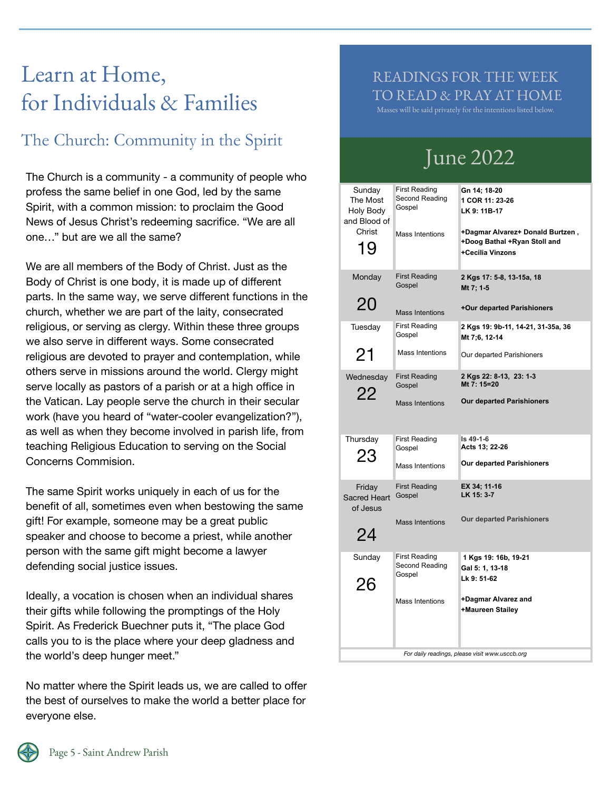# Learn at Home, for Individuals & Families

#### The Church: Community in the Spirit

The Church is a community - a community of people who profess the same belief in one God, led by the same Spirit, with a common mission: to proclaim the Good News of Jesus Christ's redeeming sacrifice. "We are all one…" but are we all the same?

We are all members of the Body of Christ. Just as the Body of Christ is one body, it is made up of different parts. In the same way, we serve different functions in the church, whether we are part of the laity, consecrated religious, or serving as clergy. Within these three groups we also serve in different ways. Some consecrated religious are devoted to prayer and contemplation, while others serve in missions around the world. Clergy might serve locally as pastors of a parish or at a high office in the Vatican. Lay people serve the church in their secular work (have you heard of "water-cooler evangelization?"), as well as when they become involved in parish life, from teaching Religious Education to serving on the Social Concerns Commision.

The same Spirit works uniquely in each of us for the benefit of all, sometimes even when bestowing the same gift! For example, someone may be a great public speaker and choose to become a priest, while another person with the same gift might become a lawyer defending social justice issues.

Ideally, a vocation is chosen when an individual shares their gifts while following the promptings of the Holy Spirit. As Frederick Buechner puts it, "The place God calls you to is the place where your deep gladness and the world's deep hunger meet."

No matter where the Spirit leads us, we are called to offer the best of ourselves to make the world a better place for everyone else.

#### READINGS FOR THE WEEK TO READ & PRAY AT HOME

Masses will be said privately for the intentions listed below.

## June 2022

| Sunday<br>The Most<br>Holy Body<br>and Blood of<br>Christ<br>19 | First Reading<br>Second Reading<br>Gospel<br><b>Mass Intentions</b> | Gn 14; 18-20<br>1 COR 11: 23-26<br>LK 9: 11B-17<br>+Dagmar Alvarez+ Donald Burtzen,<br>+Doog Bathal +Ryan Stoll and<br>+Cecilia Vinzons |
|-----------------------------------------------------------------|---------------------------------------------------------------------|-----------------------------------------------------------------------------------------------------------------------------------------|
| Monday<br>20                                                    | <b>First Reading</b><br>Gospel<br><b>Mass Intentions</b>            | 2 Kgs 17: 5-8, 13-15a, 18<br>Mt 7: 1-5<br>+Our departed Parishioners                                                                    |
| Tuesday<br>21                                                   | <b>First Reading</b><br>Gospel<br>Mass Intentions                   | 2 Kgs 19: 9b-11, 14-21, 31-35a, 36<br>Mt 7:6, 12-14<br>Our departed Parishioners                                                        |
| Wednesday<br>22                                                 | <b>First Reading</b><br>Gospel<br><b>Mass Intentions</b>            | 2 Kgs 22: 8-13, 23: 1-3<br>Mt 7: 15=20<br><b>Our departed Parishioners</b>                                                              |
| Thursday<br>23                                                  | <b>First Reading</b><br>Gospel<br>Mass Intentions                   | Is 49-1-6<br>Acts 13; 22-26<br><b>Our departed Parishioners</b>                                                                         |
| Friday<br><b>Sacred Heart</b><br>of Jesus                       | <b>First Reading</b><br>Gospel<br>Mass Intentions                   | EX 34; 11-16<br>LK 15: 3-7<br><b>Our departed Parishioners</b>                                                                          |
| 24                                                              |                                                                     |                                                                                                                                         |
| Sunday<br>26                                                    | <b>First Reading</b><br>Second Reading<br>Gospel                    | 1 Kgs 19: 16b, 19-21<br>Gal 5: 1, 13-18<br>Lk 9: 51-62                                                                                  |
|                                                                 | Mass Intentions                                                     | +Dagmar Alvarez and<br>+Maureen Stailey<br>For daily readings, please visit www.usccb.org                                               |